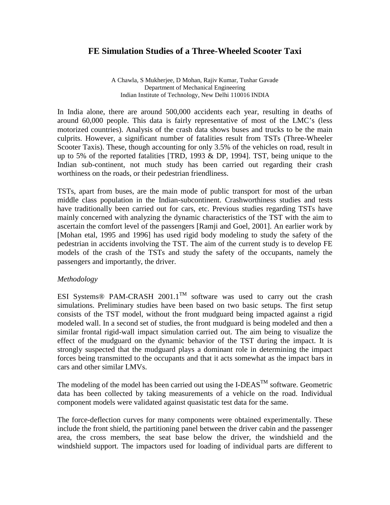# **FE Simulation Studies of a Three-Wheeled Scooter Taxi**

A Chawla, S Mukherjee, D Mohan, Rajiv Kumar, Tushar Gavade Department of Mechanical Engineering Indian Institute of Technology, New Delhi 110016 INDIA

In India alone, there are around 500,000 accidents each year, resulting in deaths of around 60,000 people. This data is fairly representative of most of the LMC's (less motorized countries). Analysis of the crash data shows buses and trucks to be the main culprits. However, a significant number of fatalities result from TSTs (Three-Wheeler Scooter Taxis). These, though accounting for only 3.5% of the vehicles on road, result in up to 5% of the reported fatalities [TRD, 1993 & DP, 1994]. TST, being unique to the Indian sub-continent, not much study has been carried out regarding their crash worthiness on the roads, or their pedestrian friendliness.

TSTs, apart from buses, are the main mode of public transport for most of the urban middle class population in the Indian-subcontinent. Crashworthiness studies and tests have traditionally been carried out for cars, etc. Previous studies regarding TSTs have mainly concerned with analyzing the dynamic characteristics of the TST with the aim to ascertain the comfort level of the passengers [Ramji and Goel, 2001]. An earlier work by [Mohan etal, 1995 and 1996] has used rigid body modeling to study the safety of the pedestrian in accidents involving the TST. The aim of the current study is to develop FE models of the crash of the TSTs and study the safety of the occupants, namely the passengers and importantly, the driver.

### *Methodology*

ESI Systems<sup>®</sup> PAM-CRASH 2001.1<sup>TM</sup> software was used to carry out the crash simulations. Preliminary studies have been based on two basic setups. The first setup consists of the TST model, without the front mudguard being impacted against a rigid modeled wall. In a second set of studies, the front mudguard is being modeled and then a similar frontal rigid-wall impact simulation carried out. The aim being to visualize the effect of the mudguard on the dynamic behavior of the TST during the impact. It is strongly suspected that the mudguard plays a dominant role in determining the impact forces being transmitted to the occupants and that it acts somewhat as the impact bars in cars and other similar LMVs.

The modeling of the model has been carried out using the I-DEAS<sup>TM</sup> software. Geometric data has been collected by taking measurements of a vehicle on the road. Individual component models were validated against quasistatic test data for the same.

The force-deflection curves for many components were obtained experimentally. These include the front shield, the partitioning panel between the driver cabin and the passenger area, the cross members, the seat base below the driver, the windshield and the windshield support. The impactors used for loading of individual parts are different to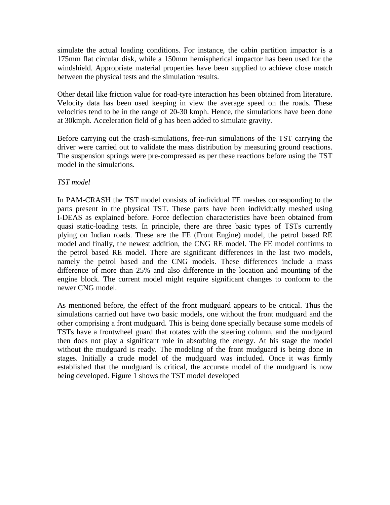simulate the actual loading conditions. For instance, the cabin partition impactor is a 175mm flat circular disk, while a 150mm hemispherical impactor has been used for the windshield. Appropriate material properties have been supplied to achieve close match between the physical tests and the simulation results.

Other detail like friction value for road-tyre interaction has been obtained from literature. Velocity data has been used keeping in view the average speed on the roads. These velocities tend to be in the range of 20-30 kmph. Hence, the simulations have been done at 30kmph. Acceleration field of *g* has been added to simulate gravity.

Before carrying out the crash-simulations, free-run simulations of the TST carrying the driver were carried out to validate the mass distribution by measuring ground reactions. The suspension springs were pre-compressed as per these reactions before using the TST model in the simulations.

### *TST model*

In PAM-CRASH the TST model consists of individual FE meshes corresponding to the parts present in the physical TST. These parts have been individually meshed using I-DEAS as explained before. Force deflection characteristics have been obtained from quasi static-loading tests. In principle, there are three basic types of TSTs currently plying on Indian roads. These are the FE (Front Engine) model, the petrol based RE model and finally, the newest addition, the CNG RE model. The FE model confirms to the petrol based RE model. There are significant differences in the last two models, namely the petrol based and the CNG models. These differences include a mass difference of more than 25% and also difference in the location and mounting of the engine block. The current model might require significant changes to conform to the newer CNG model.

As mentioned before, the effect of the front mudguard appears to be critical. Thus the simulations carried out have two basic models, one without the front mudguard and the other comprising a front mudguard. This is being done specially because some models of TSTs have a frontwheel guard that rotates with the steering column, and the mudgaurd then does not play a significant role in absorbing the energy. At his stage the model without the mudguard is ready. The modeling of the front mudguard is being done in stages. Initially a crude model of the mudguard was included. Once it was firmly established that the mudguard is critical, the accurate model of the mudguard is now being developed. Figure 1 shows the TST model developed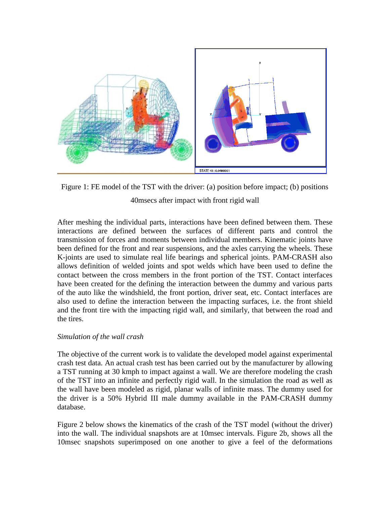

Figure 1: FE model of the TST with the driver: (a) position before impact; (b) positions 40msecs after impact with front rigid wall

After meshing the individual parts, interactions have been defined between them. These interactions are defined between the surfaces of different parts and control the transmission of forces and moments between individual members. Kinematic joints have been defined for the front and rear suspensions, and the axles carrying the wheels. These K-joints are used to simulate real life bearings and spherical joints. PAM-CRASH also allows definition of welded joints and spot welds which have been used to define the contact between the cross members in the front portion of the TST. Contact interfaces have been created for the defining the interaction between the dummy and various parts of the auto like the windshield, the front portion, driver seat, etc. Contact interfaces are also used to define the interaction between the impacting surfaces, i.e. the front shield and the front tire with the impacting rigid wall, and similarly, that between the road and the tires.

### *Simulation of the wall crash*

The objective of the current work is to validate the developed model against experimental crash test data. An actual crash test has been carried out by the manufacturer by allowing a TST running at 30 kmph to impact against a wall. We are therefore modeling the crash of the TST into an infinite and perfectly rigid wall. In the simulation the road as well as the wall have been modeled as rigid, planar walls of infinite mass. The dummy used for the driver is a 50% Hybrid III male dummy available in the PAM-CRASH dummy database.

Figure 2 below shows the kinematics of the crash of the TST model (without the driver) into the wall. The individual snapshots are at 10msec intervals. Figure 2b, shows all the 10msec snapshots superimposed on one another to give a feel of the deformations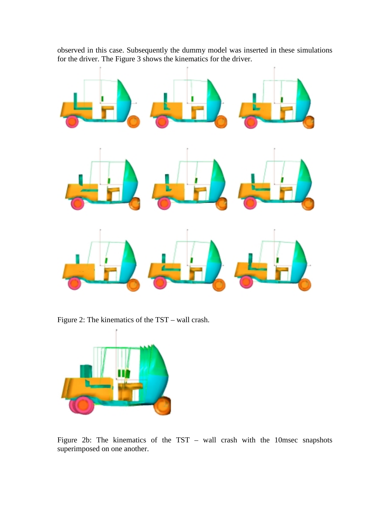observed in this case. Subsequently the dummy model was inserted in these simulations for the driver. The Figure 3 shows the kinematics for the driver.



Figure 2: The kinematics of the TST – wall crash.



Figure 2b: The kinematics of the TST – wall crash with the 10msec snapshots superimposed on one another.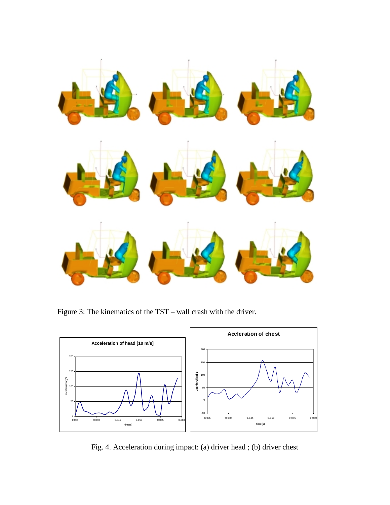

Figure 3: The kinematics of the TST – wall crash with the driver.



Fig. 4. Acceleration during impact: (a) driver head ; (b) driver chest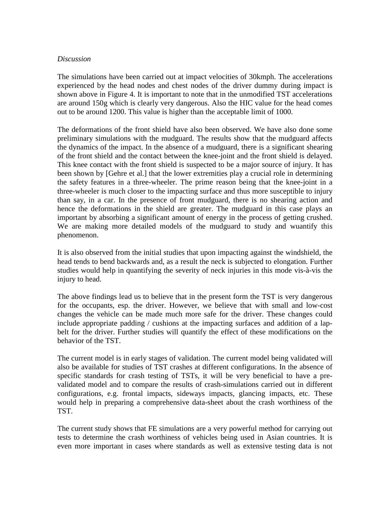#### *Discussion*

The simulations have been carried out at impact velocities of 30kmph. The accelerations experienced by the head nodes and chest nodes of the driver dummy during impact is shown above in Figure 4. It is important to note that in the unmodified TST accelerations are around 150g which is clearly very dangerous. Also the HIC value for the head comes out to be around 1200. This value is higher than the acceptable limit of 1000.

The deformations of the front shield have also been observed. We have also done some preliminary simulations with the mudguard. The results show that the mudguard affects the dynamics of the impact. In the absence of a mudguard, there is a significant shearing of the front shield and the contact between the knee-joint and the front shield is delayed. This knee contact with the front shield is suspected to be a major source of injury. It has been shown by [Gehre et al.] that the lower extremities play a crucial role in determining the safety features in a three-wheeler. The prime reason being that the knee-joint in a three-wheeler is much closer to the impacting surface and thus more susceptible to injury than say, in a car. In the presence of front mudguard, there is no shearing action and hence the deformations in the shield are greater. The mudguard in this case plays an important by absorbing a significant amount of energy in the process of getting crushed. We are making more detailed models of the mudguard to study and wuantify this phenomenon.

It is also observed from the initial studies that upon impacting against the windshield, the head tends to bend backwards and, as a result the neck is subjected to elongation. Further studies would help in quantifying the severity of neck injuries in this mode vis-à-vis the injury to head.

The above findings lead us to believe that in the present form the TST is very dangerous for the occupants, esp. the driver. However, we believe that with small and low-cost changes the vehicle can be made much more safe for the driver. These changes could include appropriate padding / cushions at the impacting surfaces and addition of a lapbelt for the driver. Further studies will quantify the effect of these modifications on the behavior of the TST.

The current model is in early stages of validation. The current model being validated will also be available for studies of TST crashes at different configurations. In the absence of specific standards for crash testing of TSTs, it will be very beneficial to have a prevalidated model and to compare the results of crash-simulations carried out in different configurations, e.g. frontal impacts, sideways impacts, glancing impacts, etc. These would help in preparing a comprehensive data-sheet about the crash worthiness of the TST.

The current study shows that FE simulations are a very powerful method for carrying out tests to determine the crash worthiness of vehicles being used in Asian countries. It is even more important in cases where standards as well as extensive testing data is not